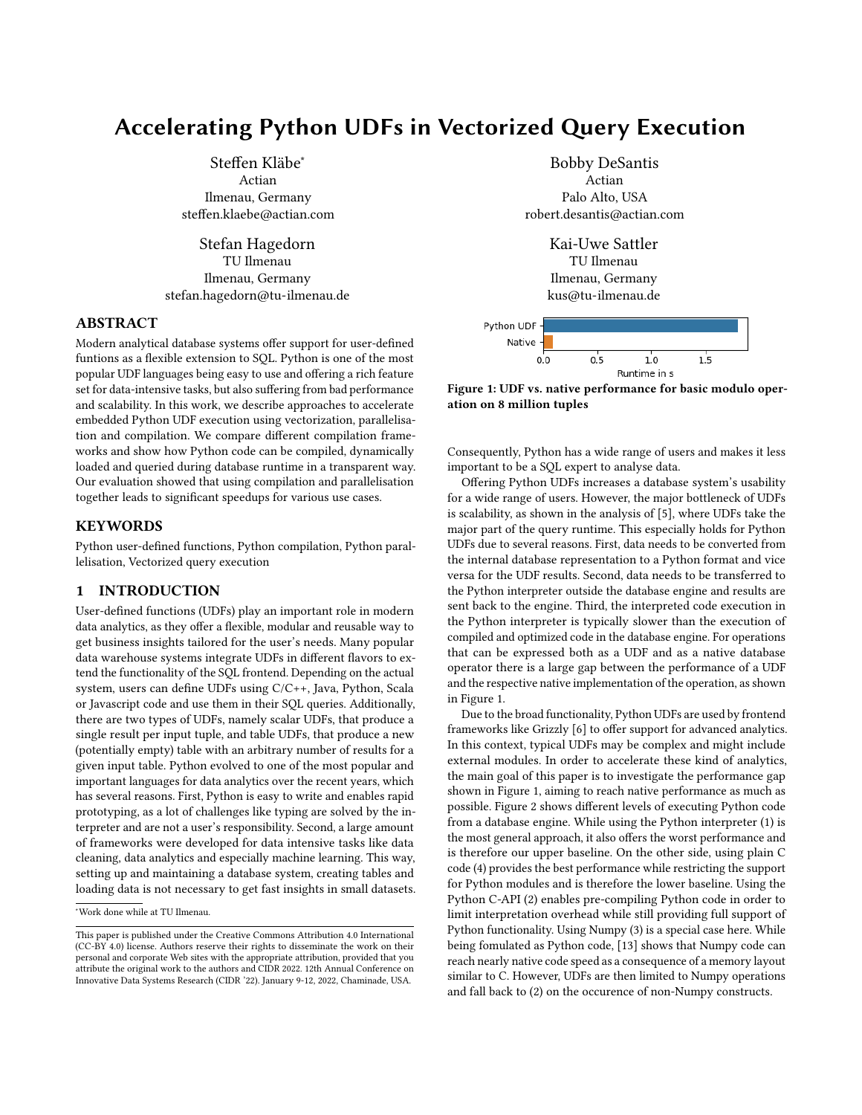# Accelerating Python UDFs in Vectorized Query Execution

Steffen Kläbe<sup>∗</sup> Actian Ilmenau, Germany steffen.klaebe@actian.com

Stefan Hagedorn TU Ilmenau Ilmenau, Germany stefan.hagedorn@tu-ilmenau.de

## ABSTRACT

Modern analytical database systems offer support for user-defined funtions as a flexible extension to SQL. Python is one of the most popular UDF languages being easy to use and offering a rich feature set for data-intensive tasks, but also suffering from bad performance and scalability. In this work, we describe approaches to accelerate embedded Python UDF execution using vectorization, parallelisation and compilation. We compare different compilation frameworks and show how Python code can be compiled, dynamically loaded and queried during database runtime in a transparent way. Our evaluation showed that using compilation and parallelisation together leads to significant speedups for various use cases.

# **KEYWORDS**

Python user-defined functions, Python compilation, Python parallelisation, Vectorized query execution

# 1 INTRODUCTION

User-defined functions (UDFs) play an important role in modern data analytics, as they offer a flexible, modular and reusable way to get business insights tailored for the user's needs. Many popular data warehouse systems integrate UDFs in different flavors to extend the functionality of the SQL frontend. Depending on the actual system, users can define UDFs using C/C++, Java, Python, Scala or Javascript code and use them in their SQL queries. Additionally, there are two types of UDFs, namely scalar UDFs, that produce a single result per input tuple, and table UDFs, that produce a new (potentially empty) table with an arbitrary number of results for a given input table. Python evolved to one of the most popular and important languages for data analytics over the recent years, which has several reasons. First, Python is easy to write and enables rapid prototyping, as a lot of challenges like typing are solved by the interpreter and are not a user's responsibility. Second, a large amount of frameworks were developed for data intensive tasks like data cleaning, data analytics and especially machine learning. This way, setting up and maintaining a database system, creating tables and loading data is not necessary to get fast insights in small datasets.

Bobby DeSantis Actian Palo Alto, USA robert.desantis@actian.com

> Kai-Uwe Sattler TU Ilmenau Ilmenau, Germany kus@tu-ilmenau.de

<span id="page-0-0"></span>

Figure 1: UDF vs. native performance for basic modulo operation on 8 million tuples

Consequently, Python has a wide range of users and makes it less important to be a SQL expert to analyse data.

Offering Python UDFs increases a database system's usability for a wide range of users. However, the major bottleneck of UDFs is scalability, as shown in the analysis of [\[5\]](#page-5-0), where UDFs take the major part of the query runtime. This especially holds for Python UDFs due to several reasons. First, data needs to be converted from the internal database representation to a Python format and vice versa for the UDF results. Second, data needs to be transferred to the Python interpreter outside the database engine and results are sent back to the engine. Third, the interpreted code execution in the Python interpreter is typically slower than the execution of compiled and optimized code in the database engine. For operations that can be expressed both as a UDF and as a native database operator there is a large gap between the performance of a UDF and the respective native implementation of the operation, as shown in Figure [1.](#page-0-0)

Due to the broad functionality, Python UDFs are used by frontend frameworks like Grizzly [\[6\]](#page-5-1) to offer support for advanced analytics. In this context, typical UDFs may be complex and might include external modules. In order to accelerate these kind of analytics, the main goal of this paper is to investigate the performance gap shown in Figure [1,](#page-0-0) aiming to reach native performance as much as possible. Figure [2](#page-1-0) shows different levels of executing Python code from a database engine. While using the Python interpreter (1) is the most general approach, it also offers the worst performance and is therefore our upper baseline. On the other side, using plain C code (4) provides the best performance while restricting the support for Python modules and is therefore the lower baseline. Using the Python C-API (2) enables pre-compiling Python code in order to limit interpretation overhead while still providing full support of Python functionality. Using Numpy (3) is a special case here. While being fomulated as Python code, [\[13\]](#page-6-0) shows that Numpy code can reach nearly native code speed as a consequence of a memory layout similar to C. However, UDFs are then limited to Numpy operations and fall back to (2) on the occurence of non-Numpy constructs.

<sup>∗</sup>Work done while at TU Ilmenau.

This paper is published under the Creative Commons Attribution 4.0 International (CC-BY 4.0) license. Authors reserve their rights to disseminate the work on their personal and corporate Web sites with the appropriate attribution, provided that you attribute the original work to the authors and CIDR 2022. 12th Annual Conference on Innovative Data Systems Research (CIDR '22). January 9-12, 2022, Chaminade, USA.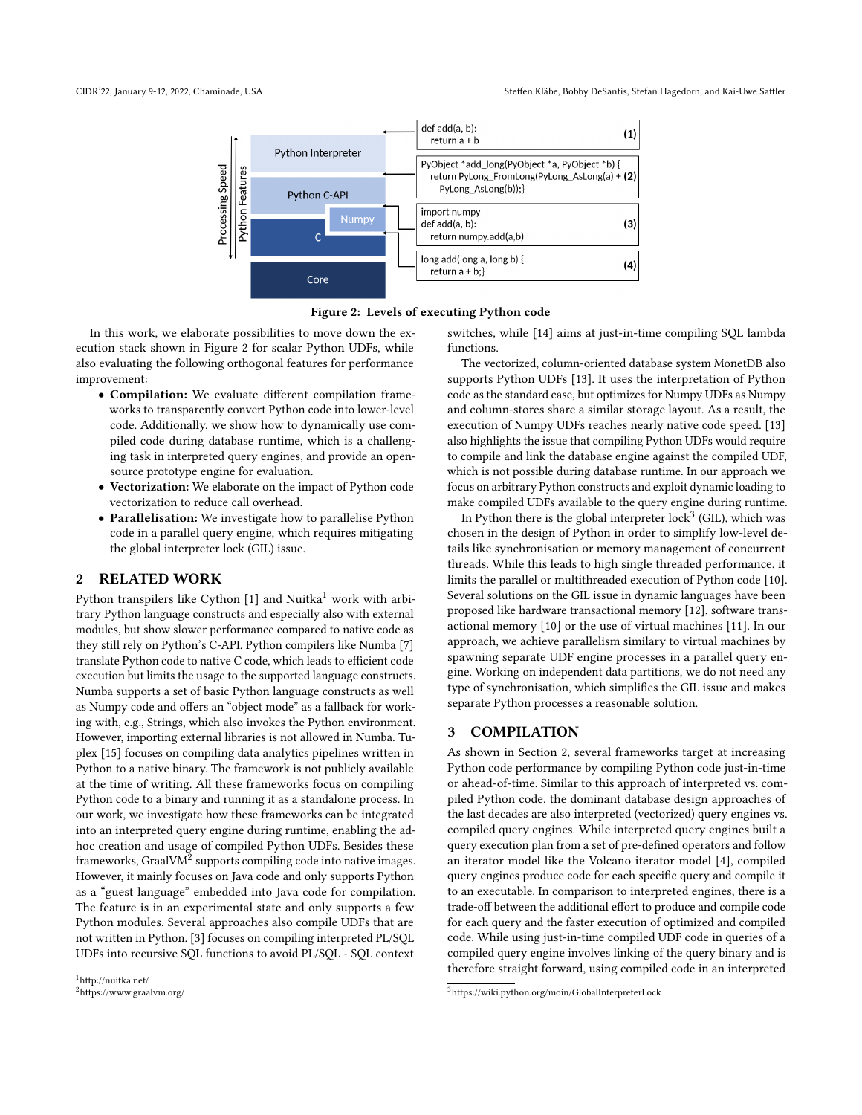<span id="page-1-0"></span>



In this work, we elaborate possibilities to move down the execution stack shown in Figure [2](#page-1-0) for scalar Python UDFs, while also evaluating the following orthogonal features for performance improvement:

- Compilation: We evaluate different compilation frameworks to transparently convert Python code into lower-level code. Additionally, we show how to dynamically use compiled code during database runtime, which is a challenging task in interpreted query engines, and provide an opensource prototype engine for evaluation.
- Vectorization: We elaborate on the impact of Python code vectorization to reduce call overhead.
- Parallelisation: We investigate how to parallelise Python code in a parallel query engine, which requires mitigating the global interpreter lock (GIL) issue.

## <span id="page-1-4"></span>2 RELATED WORK

Python transpilers like Cython  $[1]$  and Nuitka<sup>[1](#page-1-1)</sup> work with arbitrary Python language constructs and especially also with external modules, but show slower performance compared to native code as they still rely on Python's C-API. Python compilers like Numba [\[7\]](#page-5-3) translate Python code to native C code, which leads to efficient code execution but limits the usage to the supported language constructs. Numba supports a set of basic Python language constructs as well as Numpy code and offers an "object mode" as a fallback for working with, e.g., Strings, which also invokes the Python environment. However, importing external libraries is not allowed in Numba. Tuplex [\[15\]](#page-6-1) focuses on compiling data analytics pipelines written in Python to a native binary. The framework is not publicly available at the time of writing. All these frameworks focus on compiling Python code to a binary and running it as a standalone process. In our work, we investigate how these frameworks can be integrated into an interpreted query engine during runtime, enabling the adhoc creation and usage of compiled Python UDFs. Besides these frameworks, GraalV $\overline{M^2}$  $\overline{M^2}$  $\overline{M^2}$  supports compiling code into native images. However, it mainly focuses on Java code and only supports Python as a "guest language" embedded into Java code for compilation. The feature is in an experimental state and only supports a few Python modules. Several approaches also compile UDFs that are not written in Python. [\[3\]](#page-5-4) focuses on compiling interpreted PL/SQL UDFs into recursive SQL functions to avoid PL/SQL - SQL context

switches, while [\[14\]](#page-6-2) aims at just-in-time compiling SQL lambda functions.

The vectorized, column-oriented database system MonetDB also supports Python UDFs [\[13\]](#page-6-0). It uses the interpretation of Python code as the standard case, but optimizes for Numpy UDFs as Numpy and column-stores share a similar storage layout. As a result, the execution of Numpy UDFs reaches nearly native code speed. [\[13\]](#page-6-0) also highlights the issue that compiling Python UDFs would require to compile and link the database engine against the compiled UDF, which is not possible during database runtime. In our approach we focus on arbitrary Python constructs and exploit dynamic loading to make compiled UDFs available to the query engine during runtime.

In Python there is the global interpreter lock<sup>[3](#page-1-3)</sup> (GIL), which was chosen in the design of Python in order to simplify low-level details like synchronisation or memory management of concurrent threads. While this leads to high single threaded performance, it limits the parallel or multithreaded execution of Python code [\[10\]](#page-6-3). Several solutions on the GIL issue in dynamic languages have been proposed like hardware transactional memory [\[12\]](#page-6-4), software transactional memory [\[10\]](#page-6-3) or the use of virtual machines [\[11\]](#page-6-5). In our approach, we achieve parallelism similary to virtual machines by spawning separate UDF engine processes in a parallel query engine. Working on independent data partitions, we do not need any type of synchronisation, which simplifies the GIL issue and makes separate Python processes a reasonable solution.

## <span id="page-1-5"></span>3 COMPILATION

As shown in Section [2,](#page-1-4) several frameworks target at increasing Python code performance by compiling Python code just-in-time or ahead-of-time. Similar to this approach of interpreted vs. compiled Python code, the dominant database design approaches of the last decades are also interpreted (vectorized) query engines vs. compiled query engines. While interpreted query engines built a query execution plan from a set of pre-defined operators and follow an iterator model like the Volcano iterator model [\[4\]](#page-5-5), compiled query engines produce code for each specific query and compile it to an executable. In comparison to interpreted engines, there is a trade-off between the additional effort to produce and compile code for each query and the faster execution of optimized and compiled code. While using just-in-time compiled UDF code in queries of a compiled query engine involves linking of the query binary and is therefore straight forward, using compiled code in an interpreted

<span id="page-1-1"></span> $^1$ <http://nuitka.net/>

<span id="page-1-2"></span><sup>2</sup><https://www.graalvm.org/>

<span id="page-1-3"></span><sup>3</sup><https://wiki.python.org/moin/GlobalInterpreterLock>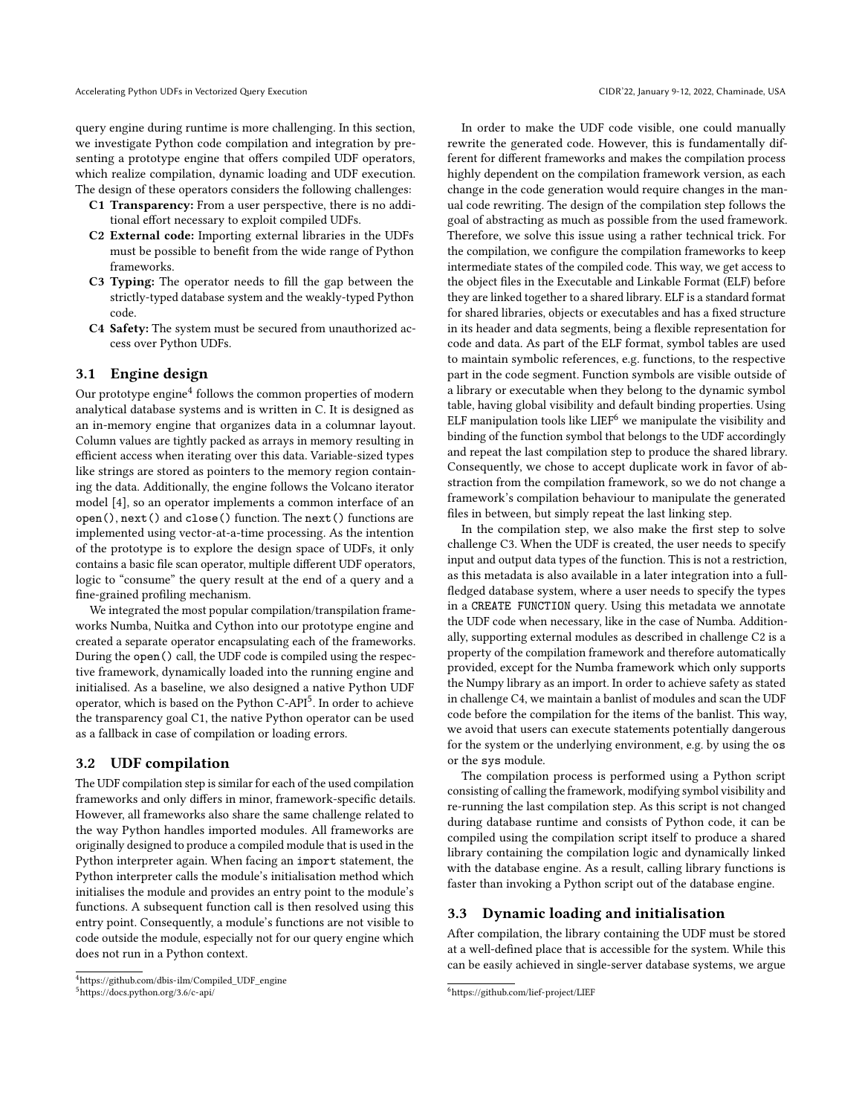query engine during runtime is more challenging. In this section, we investigate Python code compilation and integration by presenting a prototype engine that offers compiled UDF operators, which realize compilation, dynamic loading and UDF execution. The design of these operators considers the following challenges:

- C1 Transparency: From a user perspective, there is no additional effort necessary to exploit compiled UDFs.
- C2 External code: Importing external libraries in the UDFs must be possible to benefit from the wide range of Python frameworks.
- C3 Typing: The operator needs to fill the gap between the strictly-typed database system and the weakly-typed Python code.
- C4 Safety: The system must be secured from unauthorized access over Python UDFs.

## <span id="page-2-3"></span>3.1 Engine design

Our prototype engine<sup>[4](#page-2-0)</sup> follows the common properties of modern analytical database systems and is written in C. It is designed as an in-memory engine that organizes data in a columnar layout. Column values are tightly packed as arrays in memory resulting in efficient access when iterating over this data. Variable-sized types like strings are stored as pointers to the memory region containing the data. Additionally, the engine follows the Volcano iterator model [\[4\]](#page-5-5), so an operator implements a common interface of an open(), next() and close() function. The next() functions are implemented using vector-at-a-time processing. As the intention of the prototype is to explore the design space of UDFs, it only contains a basic file scan operator, multiple different UDF operators, logic to "consume" the query result at the end of a query and a fine-grained profiling mechanism.

We integrated the most popular compilation/transpilation frameworks Numba, Nuitka and Cython into our prototype engine and created a separate operator encapsulating each of the frameworks. During the open() call, the UDF code is compiled using the respective framework, dynamically loaded into the running engine and initialised. As a baseline, we also designed a native Python UDF operator, which is based on the Python C-API<sup>[5](#page-2-1)</sup>. In order to achieve the transparency goal C1, the native Python operator can be used as a fallback in case of compilation or loading errors.

#### 3.2 UDF compilation

The UDF compilation step is similar for each of the used compilation frameworks and only differs in minor, framework-specific details. However, all frameworks also share the same challenge related to the way Python handles imported modules. All frameworks are originally designed to produce a compiled module that is used in the Python interpreter again. When facing an import statement, the Python interpreter calls the module's initialisation method which initialises the module and provides an entry point to the module's functions. A subsequent function call is then resolved using this entry point. Consequently, a module's functions are not visible to code outside the module, especially not for our query engine which does not run in a Python context.

In order to make the UDF code visible, one could manually rewrite the generated code. However, this is fundamentally different for different frameworks and makes the compilation process highly dependent on the compilation framework version, as each change in the code generation would require changes in the manual code rewriting. The design of the compilation step follows the goal of abstracting as much as possible from the used framework. Therefore, we solve this issue using a rather technical trick. For the compilation, we configure the compilation frameworks to keep intermediate states of the compiled code. This way, we get access to the object files in the Executable and Linkable Format (ELF) before they are linked together to a shared library. ELF is a standard format for shared libraries, objects or executables and has a fixed structure in its header and data segments, being a flexible representation for code and data. As part of the ELF format, symbol tables are used to maintain symbolic references, e.g. functions, to the respective part in the code segment. Function symbols are visible outside of a library or executable when they belong to the dynamic symbol table, having global visibility and default binding properties. Using ELF manipulation tools like  $LIEF<sup>6</sup>$  $LIEF<sup>6</sup>$  $LIEF<sup>6</sup>$  we manipulate the visibility and binding of the function symbol that belongs to the UDF accordingly and repeat the last compilation step to produce the shared library. Consequently, we chose to accept duplicate work in favor of abstraction from the compilation framework, so we do not change a framework's compilation behaviour to manipulate the generated files in between, but simply repeat the last linking step.

In the compilation step, we also make the first step to solve challenge C3. When the UDF is created, the user needs to specify input and output data types of the function. This is not a restriction, as this metadata is also available in a later integration into a fullfledged database system, where a user needs to specify the types in a CREATE FUNCTION query. Using this metadata we annotate the UDF code when necessary, like in the case of Numba. Additionally, supporting external modules as described in challenge C2 is a property of the compilation framework and therefore automatically provided, except for the Numba framework which only supports the Numpy library as an import. In order to achieve safety as stated in challenge C4, we maintain a banlist of modules and scan the UDF code before the compilation for the items of the banlist. This way, we avoid that users can execute statements potentially dangerous for the system or the underlying environment, e.g. by using the os or the sys module.

The compilation process is performed using a Python script consisting of calling the framework, modifying symbol visibility and re-running the last compilation step. As this script is not changed during database runtime and consists of Python code, it can be compiled using the compilation script itself to produce a shared library containing the compilation logic and dynamically linked with the database engine. As a result, calling library functions is faster than invoking a Python script out of the database engine.

#### <span id="page-2-4"></span>3.3 Dynamic loading and initialisation

After compilation, the library containing the UDF must be stored at a well-defined place that is accessible for the system. While this can be easily achieved in single-server database systems, we argue

<span id="page-2-1"></span><span id="page-2-0"></span><sup>4</sup>[https://github.com/dbis-ilm/Compiled\\_UDF\\_engine](https://github.com/dbis-ilm/Compiled_UDF_engine) <sup>5</sup><https://docs.python.org/3.6/c-api/>

<span id="page-2-2"></span><sup>6</sup><https://github.com/lief-project/LIEF>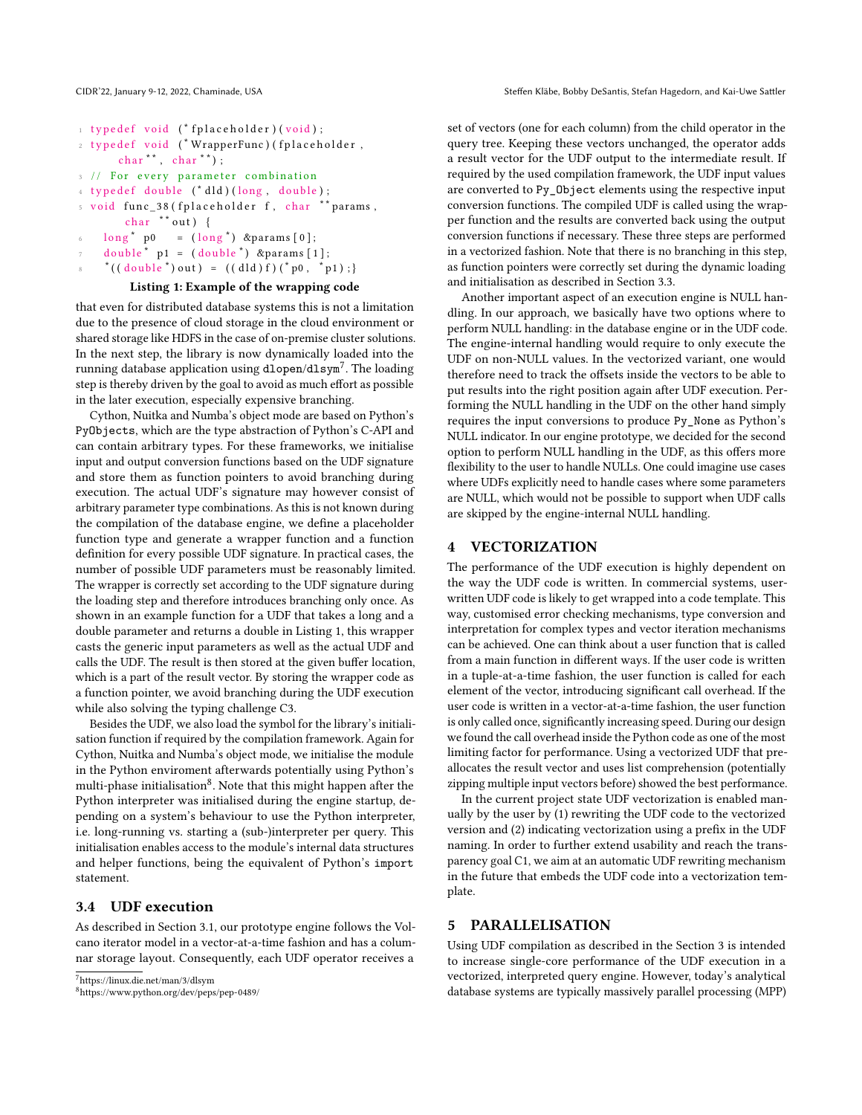```
1 typedef void (* fplaceholder) (void);
```

```
2 typedef void (*WrapperFunc) (fplaceholder,
char^*, char^*);
```

```
3 // For every parameter combination
```

```
4 typedef double ({}^* dld ) (long, double);
```

```
5 void func_38 (fplaceholder f, char ** params,
```

```
char **out) {
```

```
6 \log^* p0 = (\log^*) & params [0];
```

```
double * p1 = (double *) \; & p3
```

```
*( (double *) out ) = ((dld) f) (* p0 , * p1 );
```
# Listing 1: Example of the wrapping code

that even for distributed database systems this is not a limitation due to the presence of cloud storage in the cloud environment or shared storage like HDFS in the case of on-premise cluster solutions. In the next step, the library is now dynamically loaded into the running database application using <code>dlopen/dlsym $^7.$  $^7.$  $^7.$  The loading</code> step is thereby driven by the goal to avoid as much effort as possible in the later execution, especially expensive branching.

Cython, Nuitka and Numba's object mode are based on Python's PyObjects, which are the type abstraction of Python's C-API and can contain arbitrary types. For these frameworks, we initialise input and output conversion functions based on the UDF signature and store them as function pointers to avoid branching during execution. The actual UDF's signature may however consist of arbitrary parameter type combinations. As this is not known during the compilation of the database engine, we define a placeholder function type and generate a wrapper function and a function definition for every possible UDF signature. In practical cases, the number of possible UDF parameters must be reasonably limited. The wrapper is correctly set according to the UDF signature during the loading step and therefore introduces branching only once. As shown in an example function for a UDF that takes a long and a double parameter and returns a double in Listing [1,](#page-3-1) this wrapper casts the generic input parameters as well as the actual UDF and calls the UDF. The result is then stored at the given buffer location, which is a part of the result vector. By storing the wrapper code as a function pointer, we avoid branching during the UDF execution while also solving the typing challenge C3.

Besides the UDF, we also load the symbol for the library's initialisation function if required by the compilation framework. Again for Cython, Nuitka and Numba's object mode, we initialise the module in the Python enviroment afterwards potentially using Python's multi-phase initialisation $^8$  $^8$ . Note that this might happen after the Python interpreter was initialised during the engine startup, depending on a system's behaviour to use the Python interpreter, i.e. long-running vs. starting a (sub-)interpreter per query. This initialisation enables access to the module's internal data structures and helper functions, being the equivalent of Python's import statement.

# 3.4 UDF execution

As described in Section [3.1,](#page-2-3) our prototype engine follows the Volcano iterator model in a vector-at-a-time fashion and has a columnar storage layout. Consequently, each UDF operator receives a

```
7https://linux.die.net/man/3/dlsym
```
<span id="page-3-2"></span><sup>8</sup><https://www.python.org/dev/peps/pep-0489/>

set of vectors (one for each column) from the child operator in the query tree. Keeping these vectors unchanged, the operator adds a result vector for the UDF output to the intermediate result. If required by the used compilation framework, the UDF input values are converted to Py\_Object elements using the respective input conversion functions. The compiled UDF is called using the wrapper function and the results are converted back using the output conversion functions if necessary. These three steps are performed in a vectorized fashion. Note that there is no branching in this step, as function pointers were correctly set during the dynamic loading and initialisation as described in Section [3.3.](#page-2-4)

Another important aspect of an execution engine is NULL handling. In our approach, we basically have two options where to perform NULL handling: in the database engine or in the UDF code. The engine-internal handling would require to only execute the UDF on non-NULL values. In the vectorized variant, one would therefore need to track the offsets inside the vectors to be able to put results into the right position again after UDF execution. Performing the NULL handling in the UDF on the other hand simply requires the input conversions to produce Py\_None as Python's NULL indicator. In our engine prototype, we decided for the second option to perform NULL handling in the UDF, as this offers more flexibility to the user to handle NULLs. One could imagine use cases where UDFs explicitly need to handle cases where some parameters are NULL, which would not be possible to support when UDF calls are skipped by the engine-internal NULL handling.

#### <span id="page-3-3"></span>4 VECTORIZATION

The performance of the UDF execution is highly dependent on the way the UDF code is written. In commercial systems, userwritten UDF code is likely to get wrapped into a code template. This way, customised error checking mechanisms, type conversion and interpretation for complex types and vector iteration mechanisms can be achieved. One can think about a user function that is called from a main function in different ways. If the user code is written in a tuple-at-a-time fashion, the user function is called for each element of the vector, introducing significant call overhead. If the user code is written in a vector-at-a-time fashion, the user function is only called once, significantly increasing speed. During our design we found the call overhead inside the Python code as one of the most limiting factor for performance. Using a vectorized UDF that preallocates the result vector and uses list comprehension (potentially zipping multiple input vectors before) showed the best performance.

In the current project state UDF vectorization is enabled manually by the user by (1) rewriting the UDF code to the vectorized version and (2) indicating vectorization using a prefix in the UDF naming. In order to further extend usability and reach the transparency goal C1, we aim at an automatic UDF rewriting mechanism in the future that embeds the UDF code into a vectorization template.

#### 5 PARALLELISATION

Using UDF compilation as described in the Section [3](#page-1-5) is intended to increase single-core performance of the UDF execution in a vectorized, interpreted query engine. However, today's analytical database systems are typically massively parallel processing (MPP)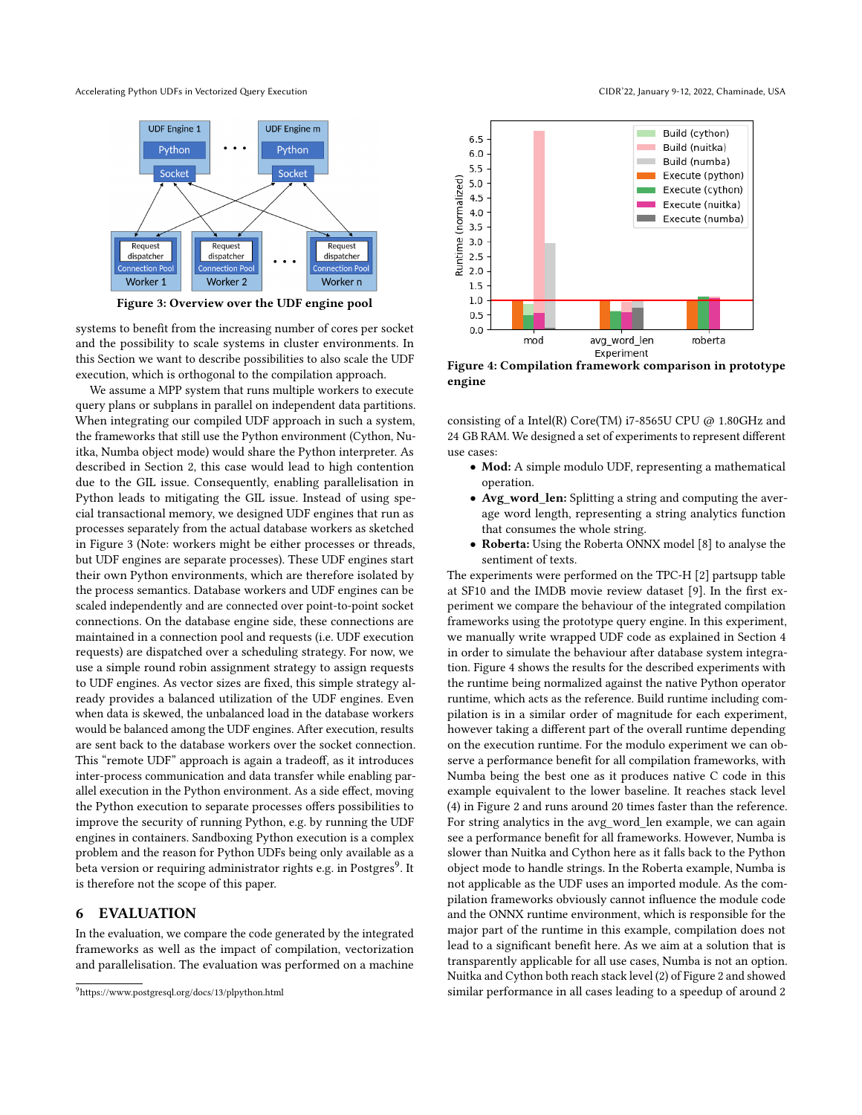<span id="page-4-0"></span>Accelerating Python UDFs in Vectorized Query Execution CIDR'22, January 9-12, 2022, Chaminade, USA



Figure 3: Overview over the UDF engine pool

systems to benefit from the increasing number of cores per socket and the possibility to scale systems in cluster environments. In this Section we want to describe possibilities to also scale the UDF execution, which is orthogonal to the compilation approach.

We assume a MPP system that runs multiple workers to execute query plans or subplans in parallel on independent data partitions. When integrating our compiled UDF approach in such a system, the frameworks that still use the Python environment (Cython, Nuitka, Numba object mode) would share the Python interpreter. As described in Section [2,](#page-1-4) this case would lead to high contention due to the GIL issue. Consequently, enabling parallelisation in Python leads to mitigating the GIL issue. Instead of using special transactional memory, we designed UDF engines that run as processes separately from the actual database workers as sketched in Figure [3](#page-4-0) (Note: workers might be either processes or threads, but UDF engines are separate processes). These UDF engines start their own Python environments, which are therefore isolated by the process semantics. Database workers and UDF engines can be scaled independently and are connected over point-to-point socket connections. On the database engine side, these connections are maintained in a connection pool and requests (i.e. UDF execution requests) are dispatched over a scheduling strategy. For now, we use a simple round robin assignment strategy to assign requests to UDF engines. As vector sizes are fixed, this simple strategy already provides a balanced utilization of the UDF engines. Even when data is skewed, the unbalanced load in the database workers would be balanced among the UDF engines. After execution, results are sent back to the database workers over the socket connection. This "remote UDF" approach is again a tradeoff, as it introduces inter-process communication and data transfer while enabling parallel execution in the Python environment. As a side effect, moving the Python execution to separate processes offers possibilities to improve the security of running Python, e.g. by running the UDF engines in containers. Sandboxing Python execution is a complex problem and the reason for Python UDFs being only available as a beta version or requiring administrator rights e.g. in Postgres<sup>[9](#page-4-1)</sup>. It is therefore not the scope of this paper.

#### 6 EVALUATION

In the evaluation, we compare the code generated by the integrated frameworks as well as the impact of compilation, vectorization and parallelisation. The evaluation was performed on a machine

<span id="page-4-2"></span>

Figure 4: Compilation framework comparison in prototype engine

consisting of a Intel(R) Core(TM) i7-8565U CPU @ 1.80GHz and 24 GB RAM. We designed a set of experiments to represent different use cases:

- Mod: A simple modulo UDF, representing a mathematical operation.
- Avg\_word\_len: Splitting a string and computing the average word length, representing a string analytics function that consumes the whole string.
- Roberta: Using the Roberta ONNX model [\[8\]](#page-6-6) to analyse the sentiment of texts.

The experiments were performed on the TPC-H [\[2\]](#page-5-6) partsupp table at SF10 and the IMDB movie review dataset [\[9\]](#page-6-7). In the first experiment we compare the behaviour of the integrated compilation frameworks using the prototype query engine. In this experiment, we manually write wrapped UDF code as explained in Section [4](#page-3-3) in order to simulate the behaviour after database system integration. Figure [4](#page-4-2) shows the results for the described experiments with the runtime being normalized against the native Python operator runtime, which acts as the reference. Build runtime including compilation is in a similar order of magnitude for each experiment, however taking a different part of the overall runtime depending on the execution runtime. For the modulo experiment we can observe a performance benefit for all compilation frameworks, with Numba being the best one as it produces native C code in this example equivalent to the lower baseline. It reaches stack level (4) in Figure [2](#page-1-0) and runs around 20 times faster than the reference. For string analytics in the avg\_word\_len example, we can again see a performance benefit for all frameworks. However, Numba is slower than Nuitka and Cython here as it falls back to the Python object mode to handle strings. In the Roberta example, Numba is not applicable as the UDF uses an imported module. As the compilation frameworks obviously cannot influence the module code and the ONNX runtime environment, which is responsible for the major part of the runtime in this example, compilation does not lead to a significant benefit here. As we aim at a solution that is transparently applicable for all use cases, Numba is not an option. Nuitka and Cython both reach stack level (2) of Figure [2](#page-1-0) and showed similar performance in all cases leading to a speedup of around 2

<span id="page-4-1"></span><sup>9</sup><https://www.postgresql.org/docs/13/plpython.html>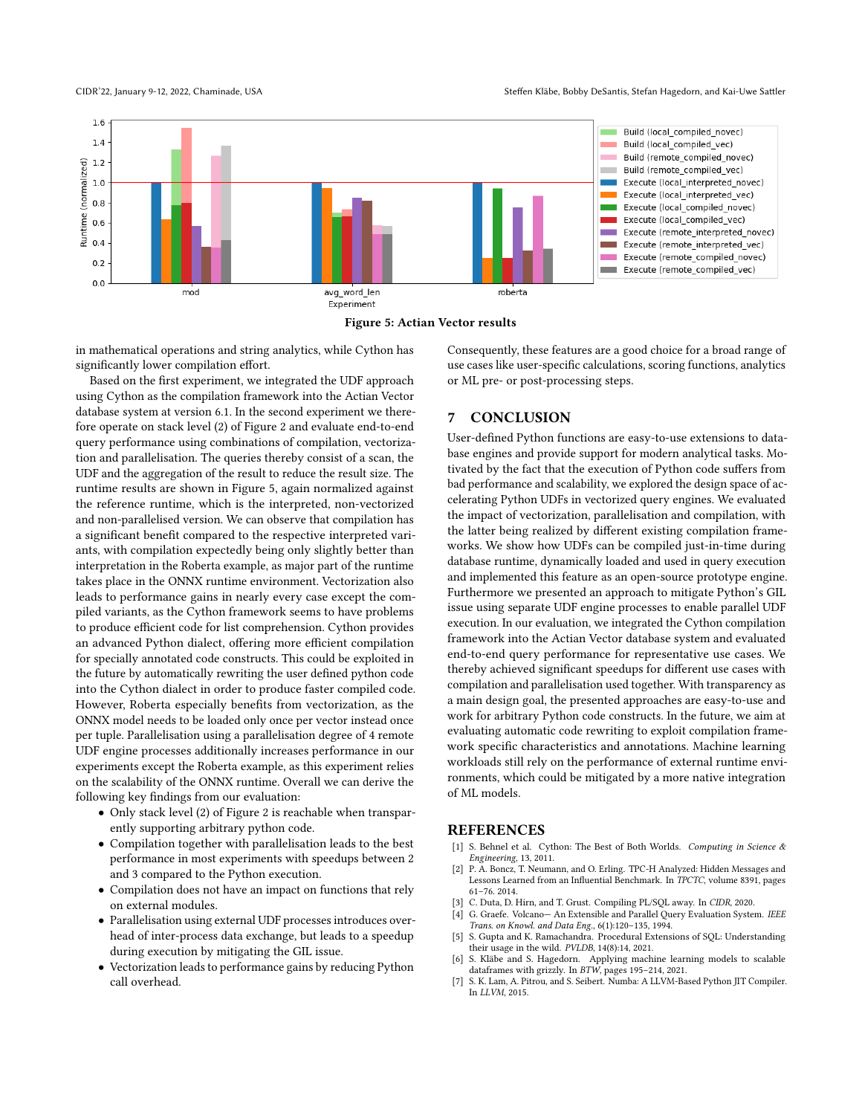<span id="page-5-7"></span>



in mathematical operations and string analytics, while Cython has significantly lower compilation effort.

Based on the first experiment, we integrated the UDF approach using Cython as the compilation framework into the Actian Vector database system at version 6.1. In the second experiment we therefore operate on stack level (2) of Figure [2](#page-1-0) and evaluate end-to-end query performance using combinations of compilation, vectorization and parallelisation. The queries thereby consist of a scan, the UDF and the aggregation of the result to reduce the result size. The runtime results are shown in Figure [5,](#page-5-7) again normalized against the reference runtime, which is the interpreted, non-vectorized and non-parallelised version. We can observe that compilation has a significant benefit compared to the respective interpreted variants, with compilation expectedly being only slightly better than interpretation in the Roberta example, as major part of the runtime takes place in the ONNX runtime environment. Vectorization also leads to performance gains in nearly every case except the compiled variants, as the Cython framework seems to have problems to produce efficient code for list comprehension. Cython provides an advanced Python dialect, offering more efficient compilation for specially annotated code constructs. This could be exploited in the future by automatically rewriting the user defined python code into the Cython dialect in order to produce faster compiled code. However, Roberta especially benefits from vectorization, as the ONNX model needs to be loaded only once per vector instead once per tuple. Parallelisation using a parallelisation degree of 4 remote UDF engine processes additionally increases performance in our experiments except the Roberta example, as this experiment relies on the scalability of the ONNX runtime. Overall we can derive the following key findings from our evaluation:

- Only stack level (2) of Figure [2](#page-1-0) is reachable when transparently supporting arbitrary python code.
- Compilation together with parallelisation leads to the best performance in most experiments with speedups between 2 and 3 compared to the Python execution.
- Compilation does not have an impact on functions that rely on external modules.
- Parallelisation using external UDF processes introduces overhead of inter-process data exchange, but leads to a speedup during execution by mitigating the GIL issue.
- Vectorization leads to performance gains by reducing Python call overhead.

Consequently, these features are a good choice for a broad range of use cases like user-specific calculations, scoring functions, analytics or ML pre- or post-processing steps.

## 7 CONCLUSION

User-defined Python functions are easy-to-use extensions to database engines and provide support for modern analytical tasks. Motivated by the fact that the execution of Python code suffers from bad performance and scalability, we explored the design space of accelerating Python UDFs in vectorized query engines. We evaluated the impact of vectorization, parallelisation and compilation, with the latter being realized by different existing compilation frameworks. We show how UDFs can be compiled just-in-time during database runtime, dynamically loaded and used in query execution and implemented this feature as an open-source prototype engine. Furthermore we presented an approach to mitigate Python's GIL issue using separate UDF engine processes to enable parallel UDF execution. In our evaluation, we integrated the Cython compilation framework into the Actian Vector database system and evaluated end-to-end query performance for representative use cases. We thereby achieved significant speedups for different use cases with compilation and parallelisation used together. With transparency as a main design goal, the presented approaches are easy-to-use and work for arbitrary Python code constructs. In the future, we aim at evaluating automatic code rewriting to exploit compilation framework specific characteristics and annotations. Machine learning workloads still rely on the performance of external runtime environments, which could be mitigated by a more native integration of ML models.

## REFERENCES

- <span id="page-5-2"></span>[1] S. Behnel et al. Cython: The Best of Both Worlds. Computing in Science & Engineering, 13, 2011.
- <span id="page-5-6"></span>[2] P. A. Boncz, T. Neumann, and O. Erling. TPC-H Analyzed: Hidden Messages and Lessons Learned from an Influential Benchmark. In TPCTC, volume 8391, pages 61–76. 2014.
- <span id="page-5-4"></span>[3] C. Duta, D. Hirn, and T. Grust. Compiling PL/SQL away. In CIDR, 2020.
- <span id="page-5-5"></span>[4] G. Graefe. Volcano— An Extensible and Parallel Query Evaluation System. IEEE Trans. on Knowl. and Data Eng., 6(1):120–135, 1994.
- <span id="page-5-0"></span>[5] S. Gupta and K. Ramachandra. Procedural Extensions of SQL: Understanding their usage in the wild. PVLDB, 14(8):14, 2021.
- <span id="page-5-1"></span>S. Kläbe and S. Hagedorn. Applying machine learning models to scalable dataframes with grizzly. In BTW, pages 195–214, 2021.
- <span id="page-5-3"></span>[7] S. K. Lam, A. Pitrou, and S. Seibert. Numba: A LLVM-Based Python JIT Compiler. In LLVM, 2015.